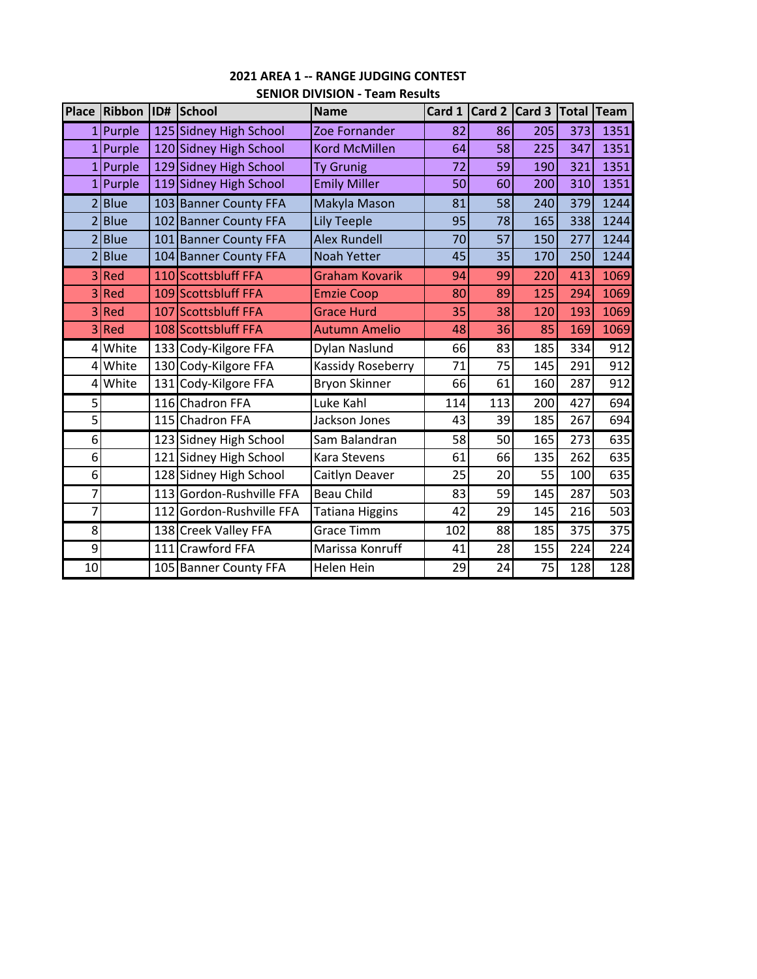| <b>Place</b>   | Ribbon      | ID# | School                   | <b>Name</b>              |     | Card 1 $\vert$ Card 2 $\vert$ Card 3 |     | Total Team |      |
|----------------|-------------|-----|--------------------------|--------------------------|-----|--------------------------------------|-----|------------|------|
| 1              | Purple      |     | 125 Sidney High School   | Zoe Fornander            | 82  | 86                                   | 205 | 373        | 1351 |
|                | 1 Purple    |     | 120 Sidney High School   | <b>Kord McMillen</b>     | 64  | 58                                   | 225 | 347        | 1351 |
|                | $1$ Purple  |     | 129 Sidney High School   | <b>Ty Grunig</b>         | 72  | 59                                   | 190 | 321        | 1351 |
|                | $1$ Purple  |     | 119 Sidney High School   | <b>Emily Miller</b>      | 50  | 60                                   | 200 | 310        | 1351 |
|                | 2 Blue      |     | 103 Banner County FFA    | Makyla Mason             | 81  | 58                                   | 240 | 379        | 1244 |
| $\overline{2}$ | <b>Blue</b> | 102 | <b>Banner County FFA</b> | <b>Lily Teeple</b>       | 95  | 78                                   | 165 | 338        | 1244 |
| $\overline{2}$ | <b>Blue</b> | 101 | <b>Banner County FFA</b> | <b>Alex Rundell</b>      | 70  | 57                                   | 150 | 277        | 1244 |
| $\overline{2}$ | <b>Blue</b> | 104 | <b>Banner County FFA</b> | <b>Noah Yetter</b>       | 45  | 35                                   | 170 | 250        | 1244 |
|                | 3Red        |     | 110 Scottsbluff FFA      | <b>Graham Kovarik</b>    | 94  | 99                                   | 220 | 413        | 1069 |
| $\overline{3}$ | Red         |     | 109 Scottsbluff FFA      | <b>Emzie Coop</b>        | 80  | 89                                   | 125 | 294        | 1069 |
| 3 <sup>1</sup> | Red         |     | 107 Scottsbluff FFA      | <b>Grace Hurd</b>        | 35  | 38                                   | 120 | 193        | 1069 |
| $\overline{3}$ | Red         |     | 108 Scottsbluff FFA      | <b>Autumn Amelio</b>     | 48  | 36                                   | 85  | 169        | 1069 |
| $\overline{4}$ | White       | 133 | Cody-Kilgore FFA         | Dylan Naslund            | 66  | 83                                   | 185 | 334        | 912  |
|                | 4 White     |     | 130 Cody-Kilgore FFA     | <b>Kassidy Roseberry</b> | 71  | 75                                   | 145 | 291        | 912  |
| 4              | White       | 131 | Cody-Kilgore FFA         | Bryon Skinner            | 66  | 61                                   | 160 | 287        | 912  |
| 5              |             | 116 | <b>Chadron FFA</b>       | Luke Kahl                | 114 | 113                                  | 200 | 427        | 694  |
| 5              |             |     | 115 Chadron FFA          | Jackson Jones            | 43  | 39                                   | 185 | 267        | 694  |
| 6              |             | 123 | Sidney High School       | Sam Balandran            | 58  | 50                                   | 165 | 273        | 635  |
| 6              |             | 121 | Sidney High School       | Kara Stevens             | 61  | 66                                   | 135 | 262        | 635  |
| 6              |             |     | 128 Sidney High School   | Caitlyn Deaver           | 25  | 20                                   | 55  | 100        | 635  |
| 7              |             | 113 | Gordon-Rushville FFA     | <b>Beau Child</b>        | 83  | 59                                   | 145 | 287        | 503  |
| $\overline{7}$ |             | 112 | Gordon-Rushville FFA     | Tatiana Higgins          | 42  | 29                                   | 145 | 216        | 503  |
| 8              |             |     | 138 Creek Valley FFA     | <b>Grace Timm</b>        | 102 | 88                                   | 185 | 375        | 375  |
| 9              |             | 111 | <b>Crawford FFA</b>      | Marissa Konruff          | 41  | 28                                   | 155 | 224        | 224  |
| 10             |             |     | 105 Banner County FFA    | <b>Helen Hein</b>        | 29  | 24                                   | 75  | 128        | 128  |

## **2021 AREA 1 ‐‐ RANGE JUDGING CONTEST SENIOR DIVISION ‐ Team Results**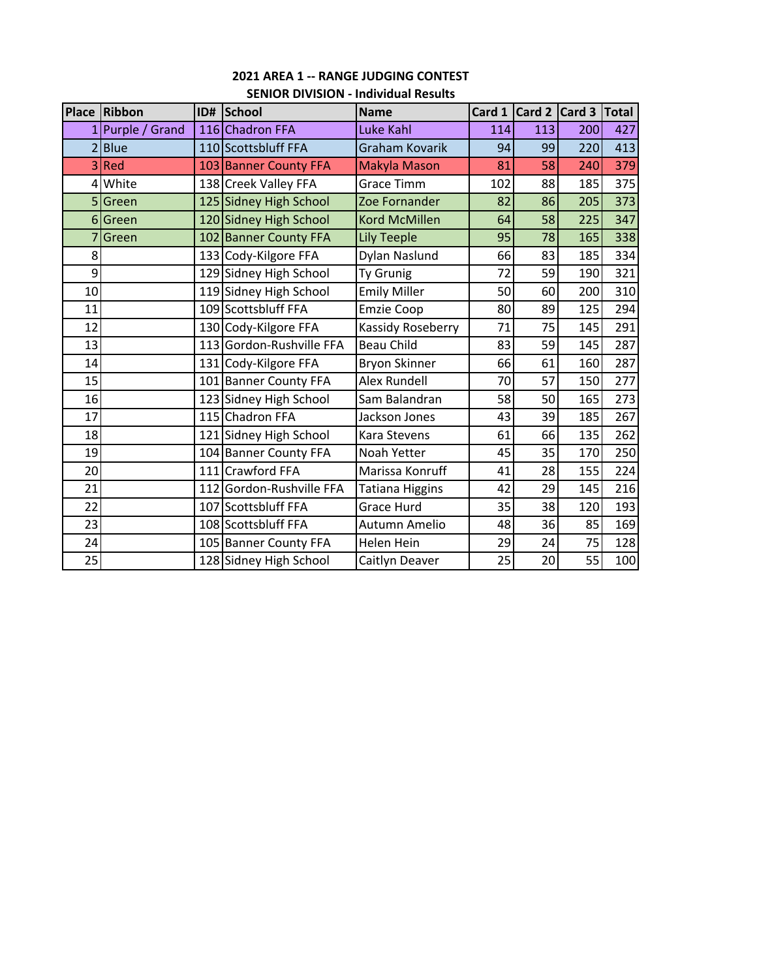|                | Place Ribbon   |     | ID# School               | <b>Name</b>            | Card 1 | Card 2 Card 3 |     | <b>Total</b> |
|----------------|----------------|-----|--------------------------|------------------------|--------|---------------|-----|--------------|
| 1              | Purple / Grand |     | 116 Chadron FFA          | Luke Kahl              | 114    | 113           | 200 | 427          |
|                | <b>Blue</b>    |     | 110 Scottsbluff FFA      | Graham Kovarik         | 94     | 99            | 220 | 413          |
| $\overline{3}$ | Red            |     | 103 Banner County FFA    | Makyla Mason           | 81     | 58            | 240 | 379          |
|                | 4 White        |     | 138 Creek Valley FFA     | <b>Grace Timm</b>      | 102    | 88            | 185 | 375          |
|                | 5 Green        |     | 125 Sidney High School   | Zoe Fornander          | 82     | 86            | 205 | 373          |
|                | 6 Green        |     | 120 Sidney High School   | <b>Kord McMillen</b>   | 64     | 58            | 225 | 347          |
|                | Green          |     | 102 Banner County FFA    | <b>Lily Teeple</b>     | 95     | 78            | 165 | 338          |
| 8              |                |     | 133 Cody-Kilgore FFA     | Dylan Naslund          | 66     | 83            | 185 | 334          |
| 9              |                |     | 129 Sidney High School   | <b>Ty Grunig</b>       | 72     | 59            | 190 | 321          |
| 10             |                |     | 119 Sidney High School   | <b>Emily Miller</b>    | 50     | 60            | 200 | 310          |
| 11             |                |     | 109 Scottsbluff FFA      | <b>Emzie Coop</b>      | 80     | 89            | 125 | 294          |
| 12             |                |     | 130 Cody-Kilgore FFA     | Kassidy Roseberry      | 71     | 75            | 145 | 291          |
| 13             |                |     | 113 Gordon-Rushville FFA | <b>Beau Child</b>      | 83     | 59            | 145 | 287          |
| 14             |                | 131 | Cody-Kilgore FFA         | Bryon Skinner          | 66     | 61            | 160 | 287          |
| 15             |                | 101 | <b>Banner County FFA</b> | <b>Alex Rundell</b>    | 70     | 57            | 150 | 277          |
| 16             |                |     | 123 Sidney High School   | Sam Balandran          | 58     | 50            | 165 | 273          |
| 17             |                |     | 115 Chadron FFA          | Jackson Jones          | 43     | 39            | 185 | 267          |
| 18             |                | 121 | Sidney High School       | <b>Kara Stevens</b>    | 61     | 66            | 135 | 262          |
| 19             |                | 104 | <b>Banner County FFA</b> | Noah Yetter            | 45     | 35            | 170 | 250          |
| 20             |                | 111 | <b>Crawford FFA</b>      | Marissa Konruff        | 41     | 28            | 155 | 224          |
| 21             |                |     | 112 Gordon-Rushville FFA | <b>Tatiana Higgins</b> | 42     | 29            | 145 | 216          |
| 22             |                | 107 | Scottsbluff FFA          | Grace Hurd             | 35     | 38            | 120 | 193          |
| 23             |                |     | 108 Scottsbluff FFA      | Autumn Amelio          | 48     | 36            | 85  | 169          |
| 24             |                |     | 105 Banner County FFA    | Helen Hein             | 29     | 24            | 75  | 128          |
| 25             |                |     | 128 Sidney High School   | Caitlyn Deaver         | 25     | 20            | 55  | 100          |

## **2021 AREA 1 ‐‐ RANGE JUDGING CONTEST SENIOR DIVISION ‐ Individual Results**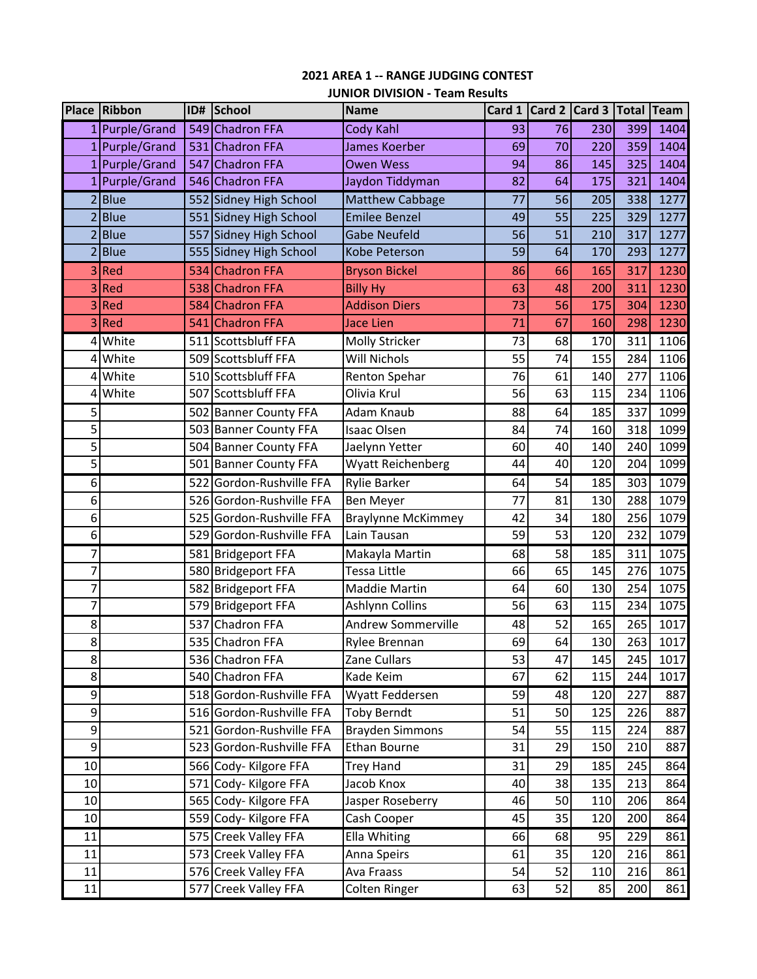## **2021 AREA 1 ‐‐ RANGE JUDGING CONTEST JUNIOR DIVISION ‐ Team Results**

|                | Place Ribbon   | ID# | School                   | <b>Name</b>               |    | Card $1$ Card $2$ Card 3 |     | <b>Total</b> | <b>Team</b> |
|----------------|----------------|-----|--------------------------|---------------------------|----|--------------------------|-----|--------------|-------------|
|                | 1 Purple/Grand |     | 549 Chadron FFA          | Cody Kahl                 | 93 | 76                       | 230 | 399          | 1404        |
|                | 1 Purple/Grand |     | 531 Chadron FFA          | James Koerber             | 69 | 70                       | 220 | 359          | 1404        |
|                | 1 Purple/Grand |     | 547 Chadron FFA          | <b>Owen Wess</b>          | 94 | 86                       | 145 | 325          | 1404        |
| 1              | Purple/Grand   |     | 546 Chadron FFA          | Jaydon Tiddyman           | 82 | 64                       | 175 | 321          | 1404        |
|                | $2$ Blue       |     | 552 Sidney High School   | Matthew Cabbage           | 77 | 56                       | 205 | 338          | 1277        |
| $\overline{2}$ | <b>Blue</b>    |     | 551 Sidney High School   | <b>Emilee Benzel</b>      | 49 | 55                       | 225 | 329          | 1277        |
| $\overline{2}$ | <b>Blue</b>    |     | 557 Sidney High School   | <b>Gabe Neufeld</b>       | 56 | 51                       | 210 | 317          | 1277        |
| $\overline{2}$ | <b>Blue</b>    |     | 555 Sidney High School   | Kobe Peterson             | 59 | 64                       | 170 | 293          | 1277        |
| 3              | Red            |     | 534 Chadron FFA          | <b>Bryson Bickel</b>      | 86 | 66                       | 165 | 317          | 1230        |
| 3              | Red            |     | 538 Chadron FFA          | <b>Billy Hy</b>           | 63 | 48                       | 200 | 311          | 1230        |
| 3              | Red            |     | 584 Chadron FFA          | <b>Addison Diers</b>      | 73 | 56                       | 175 | 304          | 1230        |
| 3              | Red            | 541 | Chadron FFA              | Jace Lien                 | 71 | 67                       | 160 | 298          | 1230        |
| 4              | White          |     | 511 Scottsbluff FFA      | Molly Stricker            | 73 | 68                       | 170 | 311          | 1106        |
| 4              | White          |     | 509 Scottsbluff FFA      | <b>Will Nichols</b>       | 55 | 74                       | 155 | 284          | 1106        |
| 4              | White          |     | 510 Scottsbluff FFA      | Renton Spehar             | 76 | 61                       | 140 | 277          | 1106        |
| 4              | White          |     | 507 Scottsbluff FFA      | Olivia Krul               | 56 | 63                       | 115 | 234          | 1106        |
| 5              |                |     | 502 Banner County FFA    | Adam Knaub                | 88 | 64                       | 185 | 337          | 1099        |
| 5              |                |     | 503 Banner County FFA    | <b>Isaac Olsen</b>        | 84 | 74                       | 160 | 318          | 1099        |
| 5              |                |     | 504 Banner County FFA    | Jaelynn Yetter            | 60 | 40                       | 140 | 240          | 1099        |
| 5              |                |     | 501 Banner County FFA    | <b>Wyatt Reichenberg</b>  | 44 | 40                       | 120 | 204          | 1099        |
| 6              |                |     | 522 Gordon-Rushville FFA | <b>Rylie Barker</b>       | 64 | 54                       | 185 | 303          | 1079        |
| 6              |                |     | 526 Gordon-Rushville FFA | <b>Ben Meyer</b>          | 77 | 81                       | 130 | 288          | 1079        |
| 6              |                |     | 525 Gordon-Rushville FFA | <b>Braylynne McKimmey</b> | 42 | 34                       | 180 | 256          | 1079        |
| 6              |                |     | 529 Gordon-Rushville FFA | Lain Tausan               | 59 | 53                       | 120 | 232          | 1079        |
| 7              |                | 581 | <b>Bridgeport FFA</b>    | Makayla Martin            | 68 | 58                       | 185 | 311          | 1075        |
| 7              |                |     | 580 Bridgeport FFA       | <b>Tessa Little</b>       | 66 | 65                       | 145 | 276          | 1075        |
| 7              |                | 582 | <b>Bridgeport FFA</b>    | Maddie Martin             | 64 | 60                       | 130 | 254          | 1075        |
| 7              |                |     | 579 Bridgeport FFA       | Ashlynn Collins           | 56 | 63                       | 115 | 234          | 1075        |
| 8              |                | 537 | Chadron FFA              | <b>Andrew Sommerville</b> | 48 | 52                       | 165 | 265          | 1017        |
| 8              |                |     | 535 Chadron FFA          | Rylee Brennan             | 69 | 64                       | 130 | 263          | 1017        |
| 8              |                |     | 536 Chadron FFA          | Zane Cullars              | 53 | 47                       | 145 | 245          | 1017        |
| 8              |                |     | 540 Chadron FFA          | Kade Keim                 | 67 | 62                       | 115 | 244          | 1017        |
| 9              |                |     | 518 Gordon-Rushville FFA | Wyatt Feddersen           | 59 | 48                       | 120 | 227          | 887         |
| 9              |                |     | 516 Gordon-Rushville FFA | <b>Toby Berndt</b>        | 51 | 50                       | 125 | 226          | 887         |
| 9              |                | 521 | Gordon-Rushville FFA     | <b>Brayden Simmons</b>    | 54 | 55                       | 115 | 224          | 887         |
| 9              |                |     | 523 Gordon-Rushville FFA | Ethan Bourne              | 31 | 29                       | 150 | 210          | 887         |
| 10             |                |     | 566 Cody- Kilgore FFA    | <b>Trey Hand</b>          | 31 | 29                       | 185 | 245          | 864         |
| 10             |                |     | 571 Cody- Kilgore FFA    | Jacob Knox                | 40 | 38                       | 135 | 213          | 864         |
| 10             |                |     | 565 Cody- Kilgore FFA    | Jasper Roseberry          | 46 | 50                       | 110 | 206          | 864         |
| 10             |                |     | 559 Cody- Kilgore FFA    | Cash Cooper               | 45 | 35                       | 120 | 200          | 864         |
| 11             |                |     | 575 Creek Valley FFA     | Ella Whiting              | 66 | 68                       | 95  | 229          | 861         |
| 11             |                |     | 573 Creek Valley FFA     | Anna Speirs               | 61 | 35                       | 120 | 216          | 861         |
| 11             |                |     | 576 Creek Valley FFA     | Ava Fraass                | 54 | 52                       | 110 | 216          | 861         |
| 11             |                |     | 577 Creek Valley FFA     | Colten Ringer             | 63 | 52                       | 85  | 200          | 861         |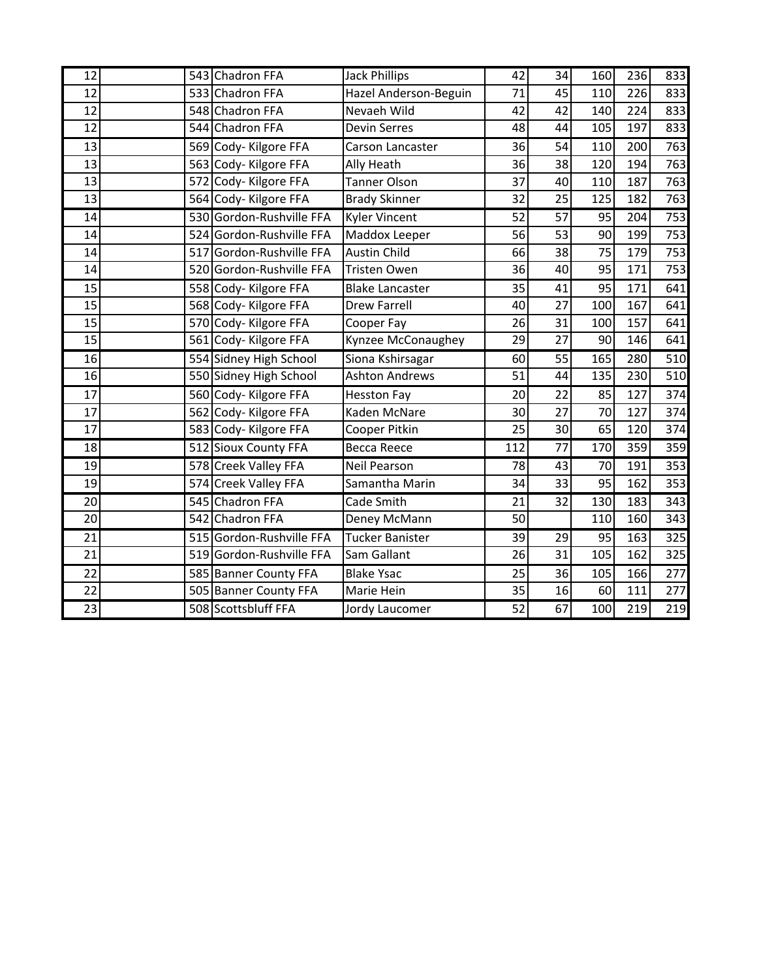| 12              | 543 Chadron FFA          | <b>Jack Phillips</b>   | 42  | 34              | 160             | 236 | 833              |
|-----------------|--------------------------|------------------------|-----|-----------------|-----------------|-----|------------------|
| 12              | 533 Chadron FFA          | Hazel Anderson-Beguin  | 71  | 45              | 110             | 226 | 833              |
| 12              | 548 Chadron FFA          | Nevaeh Wild            | 42  | 42              | 140             | 224 | 833              |
| 12              | 544 Chadron FFA          | Devin Serres           | 48  | 44              | 105             | 197 | 833              |
| 13              | 569 Cody- Kilgore FFA    | Carson Lancaster       | 36  | 54              | 110             | 200 | 763              |
| 13              | 563 Cody- Kilgore FFA    | Ally Heath             | 36  | 38              | 120             | 194 | 763              |
| 13              | 572 Cody- Kilgore FFA    | <b>Tanner Olson</b>    | 37  | 40              | 110             | 187 | 763              |
| 13              | 564 Cody- Kilgore FFA    | <b>Brady Skinner</b>   | 32  | 25              | 125             | 182 | 763              |
| 14              | 530 Gordon-Rushville FFA | <b>Kyler Vincent</b>   | 52  | $\overline{57}$ | $\overline{95}$ | 204 | $\overline{753}$ |
| 14              | 524 Gordon-Rushville FFA | Maddox Leeper          | 56  | 53              | 90              | 199 | 753              |
| 14              | 517 Gordon-Rushville FFA | <b>Austin Child</b>    | 66  | 38              | 75              | 179 | 753              |
| 14              | 520 Gordon-Rushville FFA | Tristen Owen           | 36  | 40              | 95              | 171 | 753              |
| 15              | 558 Cody- Kilgore FFA    | <b>Blake Lancaster</b> | 35  | 41              | 95              | 171 | 641              |
| 15              | 568 Cody- Kilgore FFA    | <b>Drew Farrell</b>    | 40  | 27              | 100             | 167 | 641              |
| 15              | 570 Cody- Kilgore FFA    | Cooper Fay             | 26  | 31              | 100             | 157 | 641              |
| 15              | 561 Cody- Kilgore FFA    | Kynzee McConaughey     | 29  | 27              | 90              | 146 | 641              |
| 16              | 554 Sidney High School   | Siona Kshirsagar       | 60  | 55              | 165             | 280 | 510              |
| 16              | 550 Sidney High School   | <b>Ashton Andrews</b>  | 51  | 44              | 135             | 230 | 510              |
| 17              | 560 Cody- Kilgore FFA    | <b>Hesston Fay</b>     | 20  | 22              | 85              | 127 | 374              |
| 17              | 562 Cody- Kilgore FFA    | Kaden McNare           | 30  | 27              | 70              | 127 | 374              |
| 17              | 583 Cody- Kilgore FFA    | Cooper Pitkin          | 25  | 30              | 65              | 120 | 374              |
| 18              | 512 Sioux County FFA     | <b>Becca Reece</b>     | 112 | 77              | 170             | 359 | 359              |
| 19              | 578 Creek Valley FFA     | <b>Neil Pearson</b>    | 78  | 43              | 70              | 191 | 353              |
| 19              | 574 Creek Valley FFA     | Samantha Marin         | 34  | 33              | 95              | 162 | 353              |
| 20              | 545 Chadron FFA          | Cade Smith             | 21  | 32              | 130             | 183 | 343              |
| 20              | 542 Chadron FFA          | Deney McMann           | 50  |                 | 110             | 160 | 343              |
| 21              | 515 Gordon-Rushville FFA | <b>Tucker Banister</b> | 39  | 29              | 95              | 163 | 325              |
| 21              | 519 Gordon-Rushville FFA | Sam Gallant            | 26  | 31              | 105             | 162 | 325              |
| 22              | 585 Banner County FFA    | <b>Blake Ysac</b>      | 25  | 36              | 105             | 166 | 277              |
| 22              | 505 Banner County FFA    | Marie Hein             | 35  | 16              | 60              | 111 | 277              |
| $\overline{23}$ | 508 Scottsbluff FFA      | Jordy Laucomer         | 52  | 67              | 100             | 219 | 219              |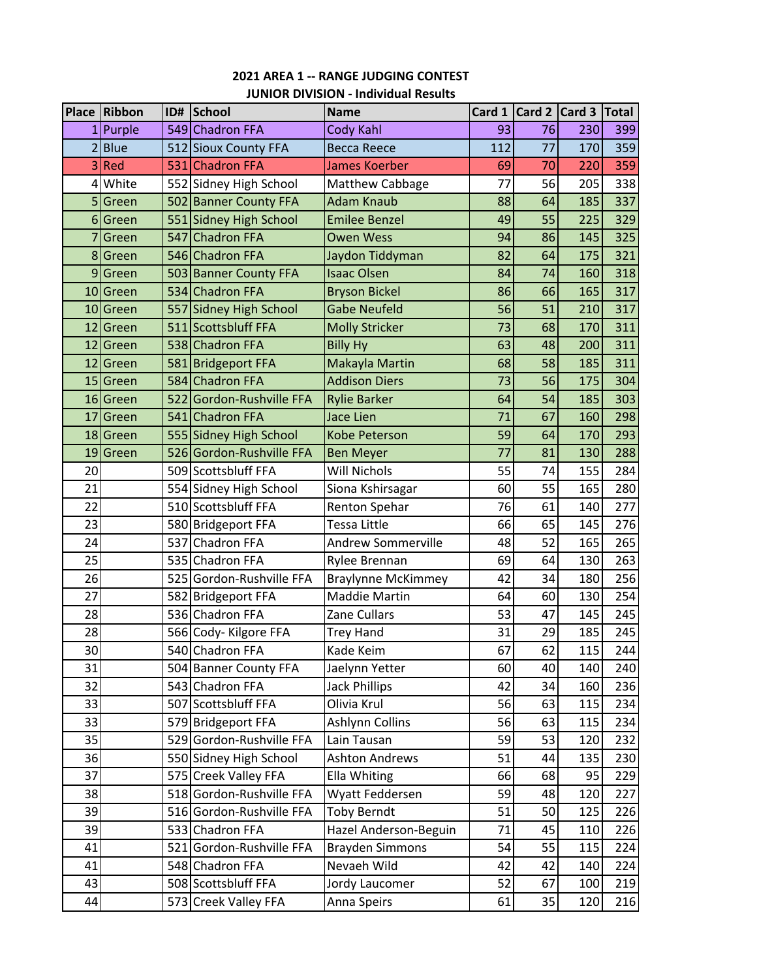| <b>2021 AREA 1 -- RANGE JUDGING CONTEST</b> |  |
|---------------------------------------------|--|
| <b>JUNIOR DIVISION - Individual Results</b> |  |

|                 | Place Ribbon | ID# | School                   | <b>Name</b>               |     |    | Card 1 Card 2 Card 3 Total |     |
|-----------------|--------------|-----|--------------------------|---------------------------|-----|----|----------------------------|-----|
|                 | 1 Purple     |     | 549 Chadron FFA          | Cody Kahl                 | 93  | 76 | 230                        | 399 |
|                 | 2 Blue       |     | 512 Sioux County FFA     | <b>Becca Reece</b>        | 112 | 77 | 170                        | 359 |
|                 | 3 Red        |     | 531 Chadron FFA          | James Koerber             | 69  | 70 | 220                        | 359 |
|                 | 4 White      |     | 552 Sidney High School   | Matthew Cabbage           | 77  | 56 | 205                        | 338 |
|                 | 5 Green      |     | 502 Banner County FFA    | <b>Adam Knaub</b>         | 88  | 64 | 185                        | 337 |
|                 | 6 Green      |     | 551 Sidney High School   | <b>Emilee Benzel</b>      | 49  | 55 | 225                        | 329 |
|                 | 7 Green      |     | 547 Chadron FFA          | <b>Owen Wess</b>          | 94  | 86 | 145                        | 325 |
|                 | 8 Green      |     | 546 Chadron FFA          | Jaydon Tiddyman           | 82  | 64 | 175                        | 321 |
|                 | 9Green       |     | 503 Banner County FFA    | <b>Isaac Olsen</b>        | 84  | 74 | 160                        | 318 |
|                 | 10 Green     |     | 534 Chadron FFA          | <b>Bryson Bickel</b>      | 86  | 66 | 165                        | 317 |
|                 | 10 Green     |     | 557 Sidney High School   | <b>Gabe Neufeld</b>       | 56  | 51 | 210                        | 317 |
|                 | 12 Green     |     | 511 Scottsbluff FFA      | <b>Molly Stricker</b>     | 73  | 68 | 170                        | 311 |
|                 | 12 Green     |     | 538 Chadron FFA          | <b>Billy Hy</b>           | 63  | 48 | 200                        | 311 |
|                 | 12 Green     |     | 581 Bridgeport FFA       | Makayla Martin            | 68  | 58 | 185                        | 311 |
|                 | 15 Green     |     | 584 Chadron FFA          | <b>Addison Diers</b>      | 73  | 56 | 175                        | 304 |
|                 | 16 Green     |     | 522 Gordon-Rushville FFA | <b>Rylie Barker</b>       | 64  | 54 | 185                        | 303 |
| 17              | Green        |     | 541 Chadron FFA          | <b>Jace Lien</b>          | 71  | 67 | 160                        | 298 |
|                 | 18 Green     |     | 555 Sidney High School   | <b>Kobe Peterson</b>      | 59  | 64 | 170                        | 293 |
|                 | 19 Green     |     | 526 Gordon-Rushville FFA | <b>Ben Meyer</b>          | 77  | 81 | 130                        | 288 |
| 20              |              |     | 509 Scottsbluff FFA      | Will Nichols              | 55  | 74 | 155                        | 284 |
| 21              |              |     | 554 Sidney High School   | Siona Kshirsagar          | 60  | 55 | 165                        | 280 |
| 22              |              |     | 510 Scottsbluff FFA      | Renton Spehar             | 76  | 61 | 140                        | 277 |
| 23              |              |     | 580 Bridgeport FFA       | Tessa Little              | 66  | 65 | 145                        | 276 |
| 24              |              | 537 | Chadron FFA              | <b>Andrew Sommerville</b> | 48  | 52 | 165                        | 265 |
| 25              |              |     | 535 Chadron FFA          | Rylee Brennan             | 69  | 64 | 130                        | 263 |
| 26              |              |     | 525 Gordon-Rushville FFA | <b>Braylynne McKimmey</b> | 42  | 34 | 180                        | 256 |
| 27              |              |     | 582 Bridgeport FFA       | <b>Maddie Martin</b>      | 64  | 60 | 130                        | 254 |
| 28              |              |     | 536 Chadron FFA          | Zane Cullars              | 53  | 47 | 145                        | 245 |
| 28              |              |     | 566 Cody- Kilgore FFA    | <b>Trey Hand</b>          | 31  | 29 | 185                        | 245 |
| 30 <sup>1</sup> |              |     | 540 Chadron FFA          | Kade Keim                 | 67  | 62 | 115                        | 244 |
| 31              |              |     | 504 Banner County FFA    | Jaelynn Yetter            | 60  | 40 | 140                        | 240 |
| 32              |              |     | 543 Chadron FFA          | <b>Jack Phillips</b>      | 42  | 34 | 160                        | 236 |
| 33              |              |     | 507 Scottsbluff FFA      | Olivia Krul               | 56  | 63 | 115                        | 234 |
| 33              |              |     | 579 Bridgeport FFA       | Ashlynn Collins           | 56  | 63 | 115                        | 234 |
| 35              |              |     | 529 Gordon-Rushville FFA | Lain Tausan               | 59  | 53 | 120                        | 232 |
| 36              |              |     | 550 Sidney High School   | <b>Ashton Andrews</b>     | 51  | 44 | 135                        | 230 |
| 37              |              |     | 575 Creek Valley FFA     | Ella Whiting              | 66  | 68 | 95                         | 229 |
| 38              |              |     | 518 Gordon-Rushville FFA | Wyatt Feddersen           | 59  | 48 | 120                        | 227 |
| 39              |              |     | 516 Gordon-Rushville FFA | <b>Toby Berndt</b>        | 51  | 50 | 125                        | 226 |
| 39              |              |     | 533 Chadron FFA          | Hazel Anderson-Beguin     | 71  | 45 | 110                        | 226 |
| 41              |              | 521 | Gordon-Rushville FFA     | <b>Brayden Simmons</b>    | 54  | 55 | 115                        | 224 |
| 41              |              |     | 548 Chadron FFA          | Nevaeh Wild               | 42  | 42 | 140                        | 224 |
| 43              |              |     | 508 Scottsbluff FFA      | Jordy Laucomer            | 52  | 67 | 100                        | 219 |
| 44              |              |     | 573 Creek Valley FFA     | Anna Speirs               | 61  | 35 | 120                        | 216 |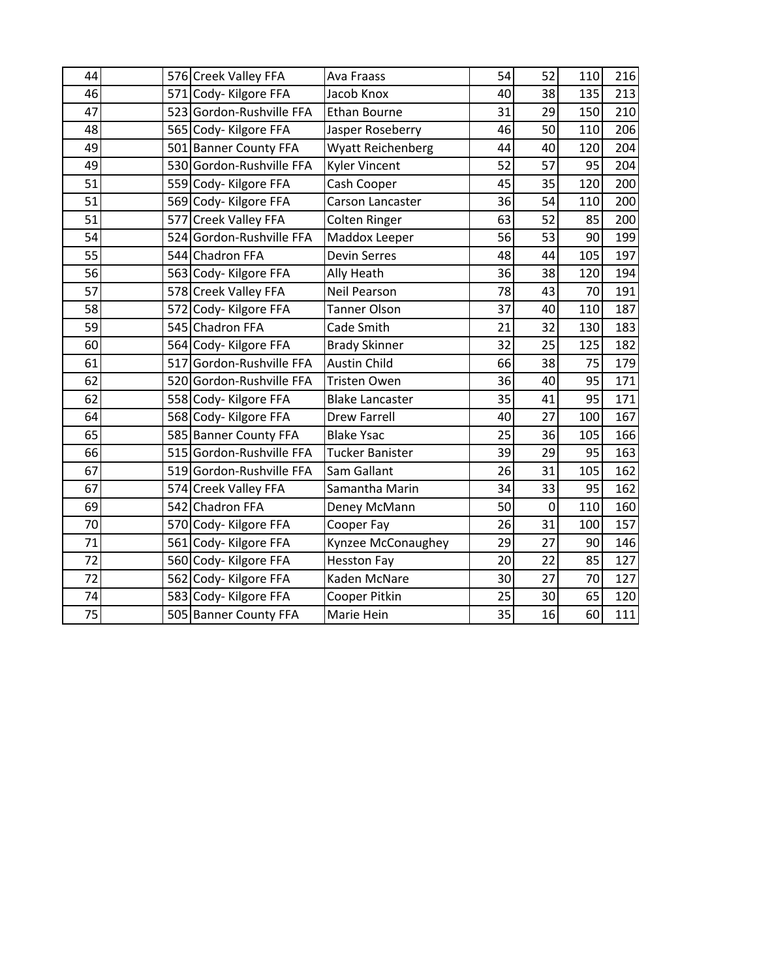| 44 |     | 576 Creek Valley FFA     | Ava Fraass               | 54 | 52          | 110 | 216 |
|----|-----|--------------------------|--------------------------|----|-------------|-----|-----|
| 46 |     | 571 Cody- Kilgore FFA    | Jacob Knox               | 40 | 38          | 135 | 213 |
| 47 |     | 523 Gordon-Rushville FFA | <b>Ethan Bourne</b>      | 31 | 29          | 150 | 210 |
| 48 |     | 565 Cody- Kilgore FFA    | Jasper Roseberry         | 46 | 50          | 110 | 206 |
| 49 | 501 | <b>Banner County FFA</b> | <b>Wyatt Reichenberg</b> | 44 | 40          | 120 | 204 |
| 49 |     | 530 Gordon-Rushville FFA | Kyler Vincent            | 52 | 57          | 95  | 204 |
| 51 |     | 559 Cody- Kilgore FFA    | Cash Cooper              | 45 | 35          | 120 | 200 |
| 51 |     | 569 Cody- Kilgore FFA    | Carson Lancaster         | 36 | 54          | 110 | 200 |
| 51 | 577 | <b>Creek Valley FFA</b>  | <b>Colten Ringer</b>     | 63 | 52          | 85  | 200 |
| 54 | 524 | Gordon-Rushville FFA     | Maddox Leeper            | 56 | 53          | 90  | 199 |
| 55 |     | 544 Chadron FFA          | <b>Devin Serres</b>      | 48 | 44          | 105 | 197 |
| 56 |     | 563 Cody- Kilgore FFA    | Ally Heath               | 36 | 38          | 120 | 194 |
| 57 |     | 578 Creek Valley FFA     | <b>Neil Pearson</b>      | 78 | 43          | 70  | 191 |
| 58 | 572 | Cody-Kilgore FFA         | <b>Tanner Olson</b>      | 37 | 40          | 110 | 187 |
| 59 |     | 545 Chadron FFA          | Cade Smith               | 21 | 32          | 130 | 183 |
| 60 |     | 564 Cody-Kilgore FFA     | <b>Brady Skinner</b>     | 32 | 25          | 125 | 182 |
| 61 |     | 517 Gordon-Rushville FFA | <b>Austin Child</b>      | 66 | 38          | 75  | 179 |
| 62 |     | 520 Gordon-Rushville FFA | Tristen Owen             | 36 | 40          | 95  | 171 |
| 62 |     | 558 Cody- Kilgore FFA    | <b>Blake Lancaster</b>   | 35 | 41          | 95  | 171 |
| 64 |     | 568 Cody- Kilgore FFA    | <b>Drew Farrell</b>      | 40 | 27          | 100 | 167 |
| 65 |     | 585 Banner County FFA    | <b>Blake Ysac</b>        | 25 | 36          | 105 | 166 |
| 66 |     | 515 Gordon-Rushville FFA | <b>Tucker Banister</b>   | 39 | 29          | 95  | 163 |
| 67 |     | 519 Gordon-Rushville FFA | Sam Gallant              | 26 | 31          | 105 | 162 |
| 67 |     | 574 Creek Valley FFA     | Samantha Marin           | 34 | 33          | 95  | 162 |
| 69 |     | 542 Chadron FFA          | Deney McMann             | 50 | $\mathbf 0$ | 110 | 160 |
| 70 |     | 570 Cody- Kilgore FFA    | Cooper Fay               | 26 | 31          | 100 | 157 |
| 71 |     | 561 Cody- Kilgore FFA    | Kynzee McConaughey       | 29 | 27          | 90  | 146 |
| 72 |     | 560 Cody- Kilgore FFA    | <b>Hesston Fay</b>       | 20 | 22          | 85  | 127 |
| 72 |     | 562 Cody- Kilgore FFA    | Kaden McNare             | 30 | 27          | 70  | 127 |
| 74 |     | 583 Cody- Kilgore FFA    | Cooper Pitkin            | 25 | 30          | 65  | 120 |
| 75 |     | 505 Banner County FFA    | Marie Hein               | 35 | 16          | 60  | 111 |